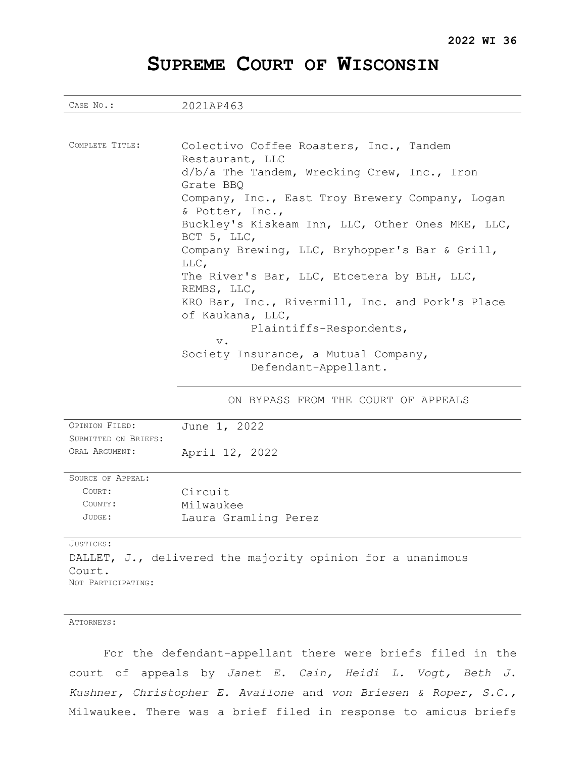# **SUPREME COURT OF WISCONSIN**

| CASE No.:                                                       | 2021AP463                                                           |
|-----------------------------------------------------------------|---------------------------------------------------------------------|
|                                                                 |                                                                     |
|                                                                 |                                                                     |
| COMPLETE TITLE:                                                 | Colectivo Coffee Roasters, Inc., Tandem                             |
|                                                                 | Restaurant, LLC                                                     |
|                                                                 | $d/b/a$ The Tandem, Wrecking Crew, Inc., Iron                       |
|                                                                 | Grate BBQ                                                           |
|                                                                 | Company, Inc., East Troy Brewery Company, Logan                     |
|                                                                 | & Potter, Inc.,                                                     |
|                                                                 | Buckley's Kiskeam Inn, LLC, Other Ones MKE, LLC,                    |
|                                                                 | BCT 5, LLC,                                                         |
|                                                                 | Company Brewing, LLC, Bryhopper's Bar & Grill,                      |
|                                                                 | LLC,                                                                |
|                                                                 | The River's Bar, LLC, Etcetera by BLH, LLC,                         |
|                                                                 | REMBS, LLC,                                                         |
|                                                                 | KRO Bar, Inc., Rivermill, Inc. and Pork's Place<br>of Kaukana, LLC, |
|                                                                 | Plaintiffs-Respondents,                                             |
|                                                                 | $\mathbf v$ .                                                       |
|                                                                 | Society Insurance, a Mutual Company,                                |
|                                                                 | Defendant-Appellant.                                                |
|                                                                 |                                                                     |
|                                                                 |                                                                     |
|                                                                 | ON BYPASS FROM THE COURT OF APPEALS                                 |
| OPINION FILED:                                                  | June 1, 2022                                                        |
| SUBMITTED ON BRIEFS:                                            |                                                                     |
| ORAL ARGUMENT:                                                  | April 12, 2022                                                      |
|                                                                 |                                                                     |
| SOURCE OF APPEAL:                                               |                                                                     |
| COURT:                                                          | Circuit                                                             |
| COUNTY:                                                         | Milwaukee                                                           |
| JUDGE:                                                          | Laura Gramling Perez                                                |
|                                                                 |                                                                     |
| JUSTICES:                                                       |                                                                     |
|                                                                 | DALLET, J., delivered the majority opinion for a unanimous          |
| Court.                                                          |                                                                     |
| NOT PARTICIPATING:                                              |                                                                     |
|                                                                 |                                                                     |
| ATTORNEYS:                                                      |                                                                     |
|                                                                 |                                                                     |
| For the defendant-appellant there were briefs filed in the      |                                                                     |
| court of appeals by Janet E. Cain, Heidi L. Vogt, Beth J.       |                                                                     |
| Kushner, Christopher E. Avallone and von Briesen & Roper, S.C., |                                                                     |
|                                                                 |                                                                     |
| Milwaukee. There was a brief filed in response to amicus briefs |                                                                     |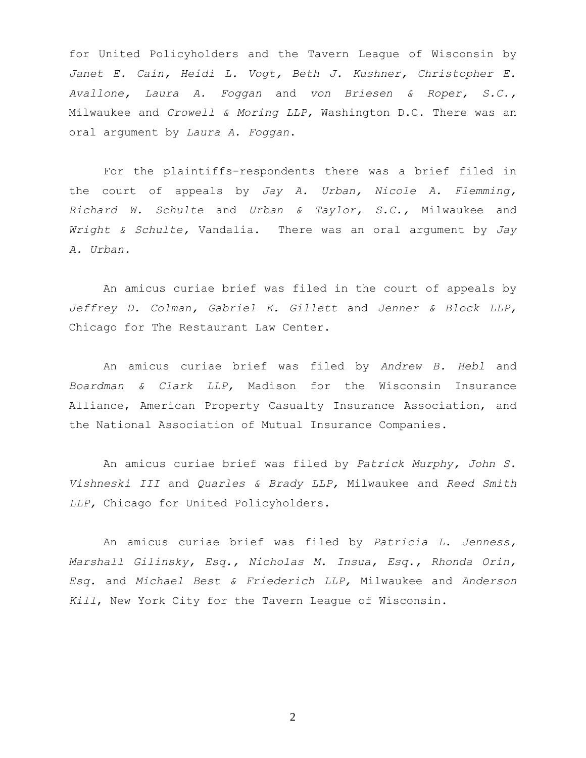for United Policyholders and the Tavern League of Wisconsin by *Janet E. Cain, Heidi L. Vogt, Beth J. Kushner, Christopher E. Avallone, Laura A. Foggan* and *von Briesen & Roper, S.C.,*  Milwaukee and *Crowell & Moring LLP,* Washington D.C. There was an oral argument by *Laura A. Foggan*.

For the plaintiffs-respondents there was a brief filed in the court of appeals by *Jay A. Urban, Nicole A. Flemming, Richard W. Schulte* and *Urban & Taylor, S.C.,* Milwaukee and *Wright & Schulte,* Vandalia. There was an oral argument by *Jay A. Urban.*

An amicus curiae brief was filed in the court of appeals by *Jeffrey D. Colman, Gabriel K. Gillett* and *Jenner & Block LLP,*  Chicago for The Restaurant Law Center.

An amicus curiae brief was filed by *Andrew B. Hebl* and *Boardman & Clark LLP,* Madison for the Wisconsin Insurance Alliance, American Property Casualty Insurance Association, and the National Association of Mutual Insurance Companies.

An amicus curiae brief was filed by *Patrick Murphy, John S. Vishneski III* and *Quarles & Brady LLP,* Milwaukee and *Reed Smith LLP,* Chicago for United Policyholders.

An amicus curiae brief was filed by *Patricia L. Jenness, Marshall Gilinsky, Esq., Nicholas M. Insua, Esq., Rhonda Orin, Esq.* and *Michael Best & Friederich LLP,* Milwaukee and *Anderson Kill*, New York City for the Tavern League of Wisconsin.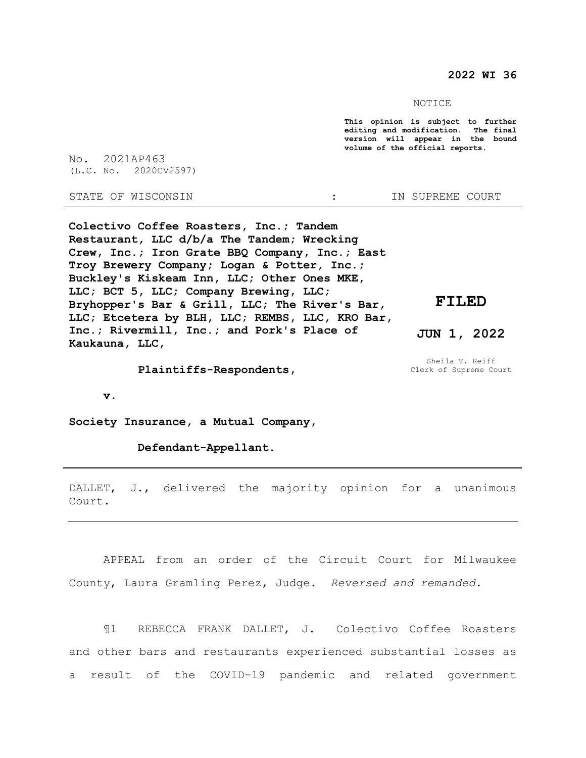**2022 WI 36**

NOTICE

**This opinion is subject to further editing and modification. The final version will appear in the bound volume of the official reports.** 

No. 2021AP463 (L.C. No. 2020CV2597)

STATE OF WISCONSIN **1989** : IN SUPREME COURT

**Colectivo Coffee Roasters, Inc.; Tandem Restaurant, LLC d/b/a The Tandem; Wrecking Crew, Inc.; Iron Grate BBQ Company, Inc.; East Troy Brewery Company; Logan & Potter, Inc.; Buckley's Kiskeam Inn, LLC; Other Ones MKE, LLC; BCT 5, LLC; Company Brewing, LLC; Bryhopper's Bar & Grill, LLC; The River's Bar, LLC; Etcetera by BLH, LLC; REMBS, LLC, KRO Bar, Inc.; Rivermill, Inc.; and Pork's Place of Kaukauna, LLC,**

 **Plaintiffs-Respondents,**

Sheila T. Reiff Clerk of Supreme Court

**JUN 1, 2022**

**FILED**

 **v.**

**Society Insurance, a Mutual Company,**

 **Defendant-Appellant.**

DALLET, J., delivered the majority opinion for a unanimous Court.

APPEAL from an order of the Circuit Court for Milwaukee County, Laura Gramling Perez, Judge. *Reversed and remanded*.

¶1 REBECCA FRANK DALLET, J. Colectivo Coffee Roasters and other bars and restaurants experienced substantial losses as a result of the COVID-19 pandemic and related government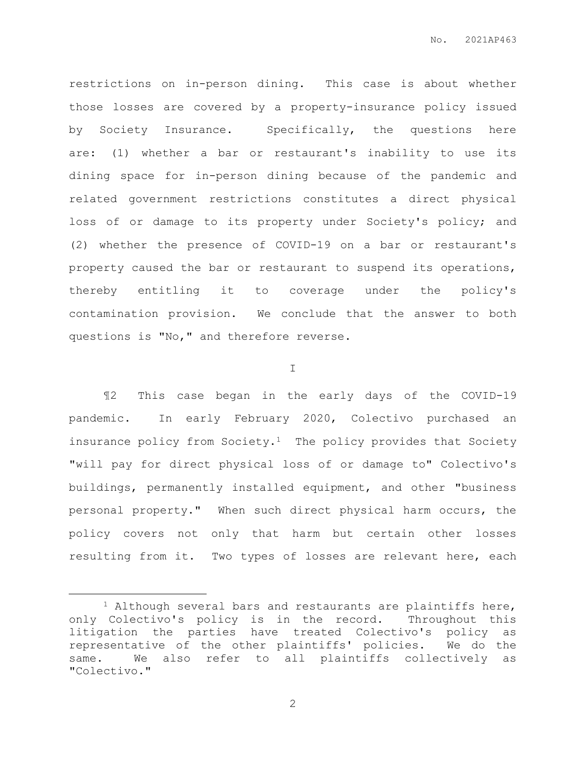restrictions on in-person dining. This case is about whether those losses are covered by a property-insurance policy issued by Society Insurance. Specifically, the questions here are: (1) whether a bar or restaurant's inability to use its dining space for in-person dining because of the pandemic and related government restrictions constitutes a direct physical loss of or damage to its property under Society's policy; and (2) whether the presence of COVID-19 on a bar or restaurant's property caused the bar or restaurant to suspend its operations, thereby entitling it to coverage under the policy's contamination provision. We conclude that the answer to both questions is "No," and therefore reverse.

## I

¶2 This case began in the early days of the COVID-19 pandemic. In early February 2020, Colectivo purchased an insurance policy from Society.<sup>1</sup> The policy provides that Society "will pay for direct physical loss of or damage to" Colectivo's buildings, permanently installed equipment, and other "business personal property." When such direct physical harm occurs, the policy covers not only that harm but certain other losses resulting from it. Two types of losses are relevant here, each

 $\overline{a}$ 

 $1$  Although several bars and restaurants are plaintiffs here, only Colectivo's policy is in the record. Throughout this litigation the parties have treated Colectivo's policy as representative of the other plaintiffs' policies. We do the same. We also refer to all plaintiffs collectively as "Colectivo."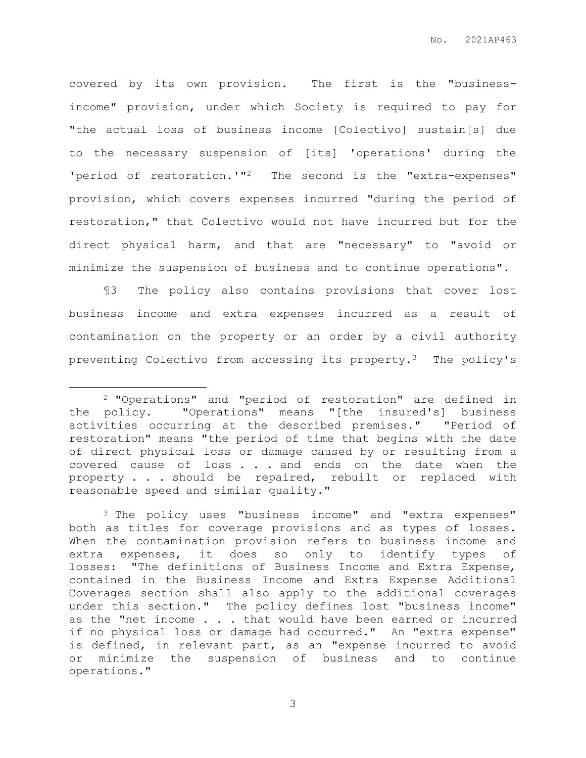covered by its own provision. The first is the "businessincome" provision, under which Society is required to pay for "the actual loss of business income [Colectivo] sustain[s] due to the necessary suspension of [its] 'operations' during the 'period of restoration.'"2 The second is the "extra-expenses" provision, which covers expenses incurred "during the period of restoration," that Colectivo would not have incurred but for the direct physical harm, and that are "necessary" to "avoid or minimize the suspension of business and to continue operations".

¶3 The policy also contains provisions that cover lost business income and extra expenses incurred as a result of contamination on the property or an order by a civil authority preventing Colectivo from accessing its property.3 The policy's

 $\overline{a}$ 

<sup>2</sup> "Operations" and "period of restoration" are defined in the policy. "Operations" means "[the insured's] business activities occurring at the described premises." "Period of restoration" means "the period of time that begins with the date of direct physical loss or damage caused by or resulting from a covered cause of loss . . . and ends on the date when the property . . . should be repaired, rebuilt or replaced with reasonable speed and similar quality."

<sup>3</sup> The policy uses "business income" and "extra expenses" both as titles for coverage provisions and as types of losses. When the contamination provision refers to business income and extra expenses, it does so only to identify types of losses: "The definitions of Business Income and Extra Expense, contained in the Business Income and Extra Expense Additional Coverages section shall also apply to the additional coverages under this section." The policy defines lost "business income" as the "net income . . . that would have been earned or incurred if no physical loss or damage had occurred." An "extra expense" is defined, in relevant part, as an "expense incurred to avoid or minimize the suspension of business and to continue operations."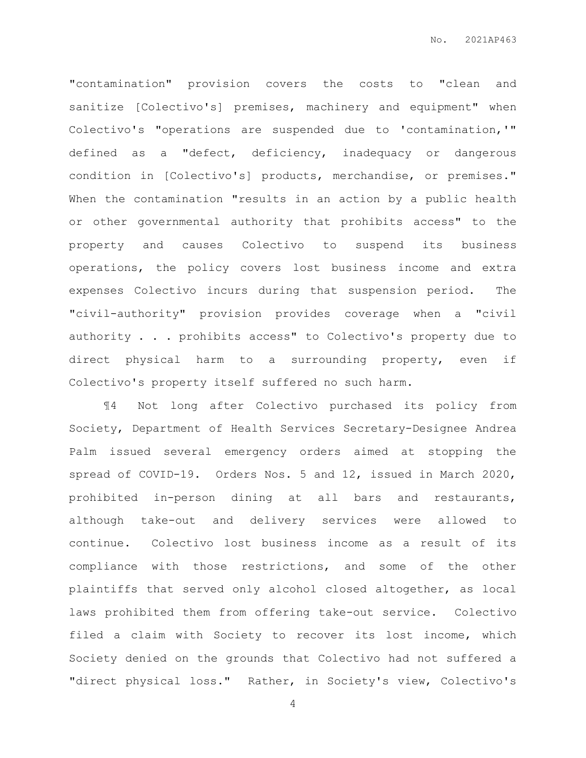"contamination" provision covers the costs to "clean and sanitize [Colectivo's] premises, machinery and equipment" when Colectivo's "operations are suspended due to 'contamination,'" defined as a "defect, deficiency, inadequacy or dangerous condition in [Colectivo's] products, merchandise, or premises." When the contamination "results in an action by a public health or other governmental authority that prohibits access" to the property and causes Colectivo to suspend its business operations, the policy covers lost business income and extra expenses Colectivo incurs during that suspension period. The "civil-authority" provision provides coverage when a "civil authority . . . prohibits access" to Colectivo's property due to direct physical harm to a surrounding property, even if Colectivo's property itself suffered no such harm.

¶4 Not long after Colectivo purchased its policy from Society, Department of Health Services Secretary-Designee Andrea Palm issued several emergency orders aimed at stopping the spread of COVID-19. Orders Nos. 5 and 12, issued in March 2020, prohibited in-person dining at all bars and restaurants, although take-out and delivery services were allowed to continue. Colectivo lost business income as a result of its compliance with those restrictions, and some of the other plaintiffs that served only alcohol closed altogether, as local laws prohibited them from offering take-out service. Colectivo filed a claim with Society to recover its lost income, which Society denied on the grounds that Colectivo had not suffered a "direct physical loss." Rather, in Society's view, Colectivo's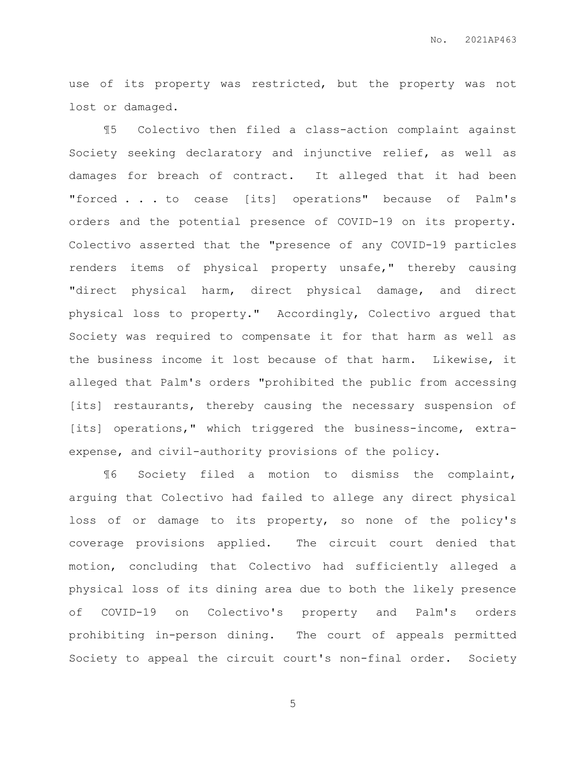use of its property was restricted, but the property was not lost or damaged.

¶5 Colectivo then filed a class-action complaint against Society seeking declaratory and injunctive relief, as well as damages for breach of contract. It alleged that it had been "forced . . . to cease [its] operations" because of Palm's orders and the potential presence of COVID-19 on its property. Colectivo asserted that the "presence of any COVID-19 particles renders items of physical property unsafe," thereby causing "direct physical harm, direct physical damage, and direct physical loss to property." Accordingly, Colectivo argued that Society was required to compensate it for that harm as well as the business income it lost because of that harm. Likewise, it alleged that Palm's orders "prohibited the public from accessing [its] restaurants, thereby causing the necessary suspension of [its] operations," which triggered the business-income, extraexpense, and civil-authority provisions of the policy.

¶6 Society filed a motion to dismiss the complaint, arguing that Colectivo had failed to allege any direct physical loss of or damage to its property, so none of the policy's coverage provisions applied. The circuit court denied that motion, concluding that Colectivo had sufficiently alleged a physical loss of its dining area due to both the likely presence of COVID-19 on Colectivo's property and Palm's orders prohibiting in-person dining. The court of appeals permitted Society to appeal the circuit court's non-final order. Society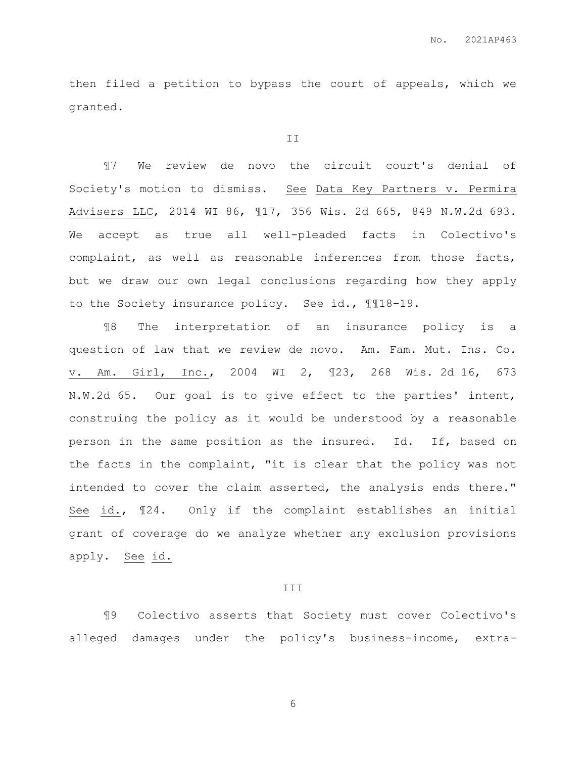then filed a petition to bypass the court of appeals, which we granted.

#### II

¶7 We review de novo the circuit court's denial of Society's motion to dismiss. See Data Key Partners v. Permira Advisers LLC, 2014 WI 86, ¶17, 356 Wis. 2d 665, 849 N.W.2d 693. We accept as true all well-pleaded facts in Colectivo's complaint, as well as reasonable inferences from those facts, but we draw our own legal conclusions regarding how they apply to the Society insurance policy. See id., ¶¶18–19.

¶8 The interpretation of an insurance policy is a question of law that we review de novo. Am. Fam. Mut. Ins. Co. v. Am. Girl, Inc., 2004 WI 2, ¶23, 268 Wis. 2d 16, 673 N.W.2d 65. Our goal is to give effect to the parties' intent, construing the policy as it would be understood by a reasonable person in the same position as the insured. Id. If, based on the facts in the complaint, "it is clear that the policy was not intended to cover the claim asserted, the analysis ends there." See id., ¶24. Only if the complaint establishes an initial grant of coverage do we analyze whether any exclusion provisions apply. See id.

#### III

¶9 Colectivo asserts that Society must cover Colectivo's alleged damages under the policy's business-income, extra-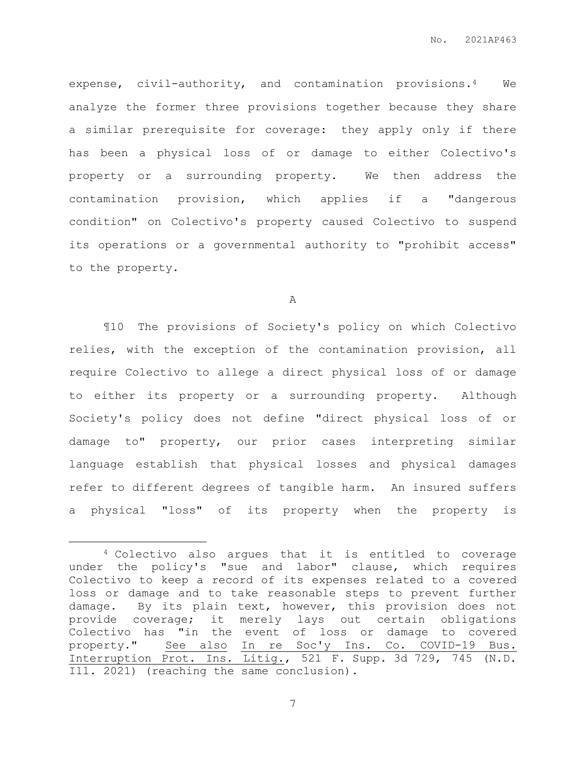expense, civil-authority, and contamination provisions.4 We analyze the former three provisions together because they share a similar prerequisite for coverage: they apply only if there has been a physical loss of or damage to either Colectivo's property or a surrounding property. We then address the contamination provision, which applies if a "dangerous condition" on Colectivo's property caused Colectivo to suspend its operations or a governmental authority to "prohibit access" to the property.

A

¶10 The provisions of Society's policy on which Colectivo relies, with the exception of the contamination provision, all require Colectivo to allege a direct physical loss of or damage to either its property or a surrounding property. Although Society's policy does not define "direct physical loss of or damage to" property, our prior cases interpreting similar language establish that physical losses and physical damages refer to different degrees of tangible harm. An insured suffers a physical "loss" of its property when the property is

 $\overline{a}$ 

<sup>4</sup> Colectivo also argues that it is entitled to coverage under the policy's "sue and labor" clause, which requires Colectivo to keep a record of its expenses related to a covered loss or damage and to take reasonable steps to prevent further damage. By its plain text, however, this provision does not provide coverage; it merely lays out certain obligations Colectivo has "in the event of loss or damage to covered property." See also In re Soc'y Ins. Co. COVID-19 Bus. Interruption Prot. Ins. Litig., 521 F. Supp. 3d 729, 745 (N.D. Ill. 2021) (reaching the same conclusion).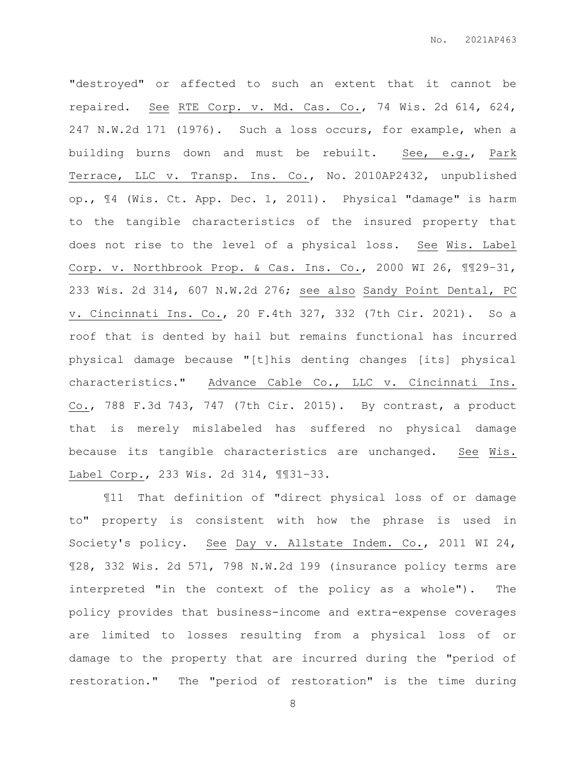"destroyed" or affected to such an extent that it cannot be repaired. See RTE Corp. v. Md. Cas. Co., 74 Wis. 2d 614, 624, 247 N.W.2d 171 (1976). Such a loss occurs, for example, when a building burns down and must be rebuilt. See, e.g., Park Terrace, LLC v. Transp. Ins. Co., No. 2010AP2432, unpublished op., ¶4 (Wis. Ct. App. Dec. 1, 2011). Physical "damage" is harm to the tangible characteristics of the insured property that does not rise to the level of a physical loss. See Wis. Label Corp. v. Northbrook Prop. & Cas. Ins. Co., 2000 WI 26, ¶¶29–31, 233 Wis. 2d 314, 607 N.W.2d 276; see also Sandy Point Dental, PC v. Cincinnati Ins. Co., 20 F.4th 327, 332 (7th Cir. 2021). So a roof that is dented by hail but remains functional has incurred physical damage because "[t]his denting changes [its] physical characteristics." Advance Cable Co., LLC v. Cincinnati Ins. Co., 788 F.3d 743, 747 (7th Cir. 2015). By contrast, a product that is merely mislabeled has suffered no physical damage because its tangible characteristics are unchanged. See Wis. Label Corp., 233 Wis. 2d 314, ¶¶31–33.

¶11 That definition of "direct physical loss of or damage to" property is consistent with how the phrase is used in Society's policy. See Day v. Allstate Indem. Co., 2011 WI 24, ¶28, 332 Wis. 2d 571, 798 N.W.2d 199 (insurance policy terms are interpreted "in the context of the policy as a whole"). The policy provides that business-income and extra-expense coverages are limited to losses resulting from a physical loss of or damage to the property that are incurred during the "period of restoration." The "period of restoration" is the time during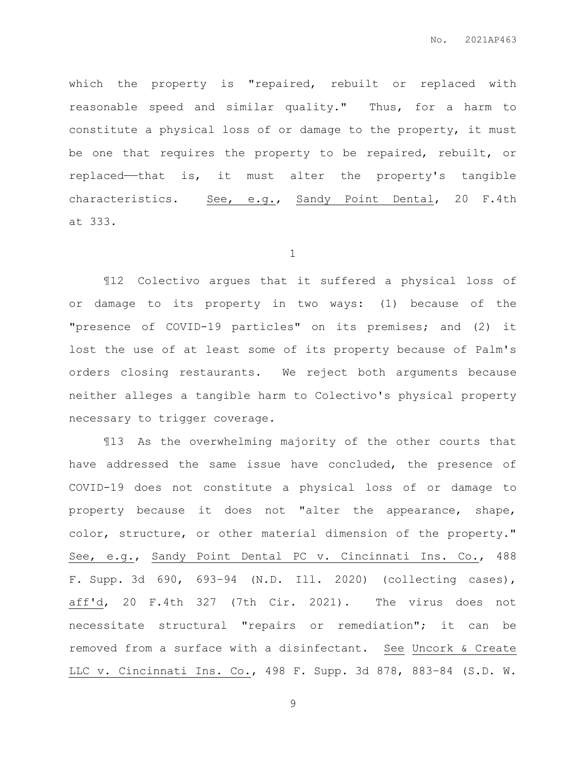which the property is "repaired, rebuilt or replaced with reasonable speed and similar quality." Thus, for a harm to constitute a physical loss of or damage to the property, it must be one that requires the property to be repaired, rebuilt, or replaced——that is, it must alter the property's tangible characteristics. See, e.g., Sandy Point Dental, 20 F.4th at 333.

1

¶12 Colectivo argues that it suffered a physical loss of or damage to its property in two ways: (1) because of the "presence of COVID-19 particles" on its premises; and (2) it lost the use of at least some of its property because of Palm's orders closing restaurants. We reject both arguments because neither alleges a tangible harm to Colectivo's physical property necessary to trigger coverage.

¶13 As the overwhelming majority of the other courts that have addressed the same issue have concluded, the presence of COVID-19 does not constitute a physical loss of or damage to property because it does not "alter the appearance, shape, color, structure, or other material dimension of the property." See, e.g., Sandy Point Dental PC v. Cincinnati Ins. Co., 488 F. Supp. 3d 690, 693–94 (N.D. Ill. 2020) (collecting cases), aff'd, 20 F.4th 327 (7th Cir. 2021). The virus does not necessitate structural "repairs or remediation"; it can be removed from a surface with a disinfectant. See Uncork & Create LLC v. Cincinnati Ins. Co., 498 F. Supp. 3d 878, 883–84 (S.D. W.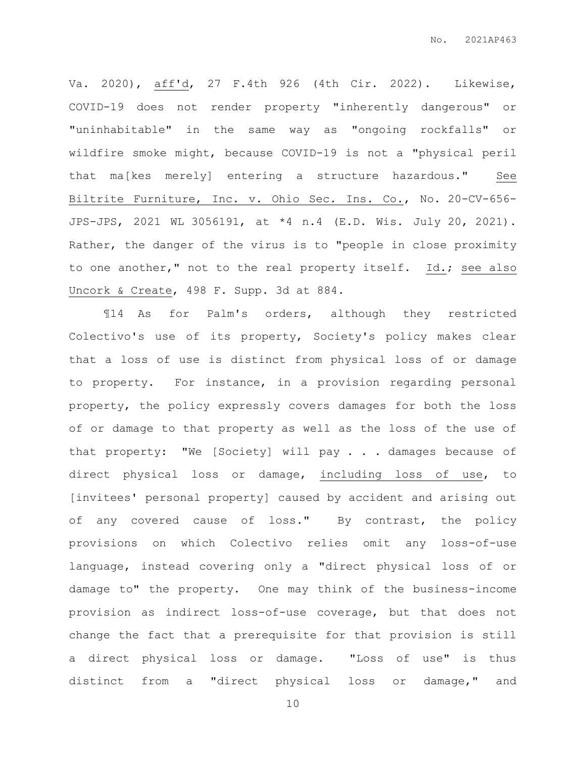Va. 2020), aff'd, 27 F.4th 926 (4th Cir. 2022). Likewise, COVID-19 does not render property "inherently dangerous" or "uninhabitable" in the same way as "ongoing rockfalls" or wildfire smoke might, because COVID-19 is not a "physical peril that ma[kes merely] entering a structure hazardous." See Biltrite Furniture, Inc. v. Ohio Sec. Ins. Co., No. 20-CV-656- JPS-JPS, 2021 WL 3056191, at \*4 n.4 (E.D. Wis. July 20, 2021). Rather, the danger of the virus is to "people in close proximity to one another," not to the real property itself. Id.; see also Uncork & Create, 498 F. Supp. 3d at 884.

¶14 As for Palm's orders, although they restricted Colectivo's use of its property, Society's policy makes clear that a loss of use is distinct from physical loss of or damage to property. For instance, in a provision regarding personal property, the policy expressly covers damages for both the loss of or damage to that property as well as the loss of the use of that property: "We [Society] will pay . . . damages because of direct physical loss or damage, including loss of use, to [invitees' personal property] caused by accident and arising out of any covered cause of loss." By contrast, the policy provisions on which Colectivo relies omit any loss-of-use language, instead covering only a "direct physical loss of or damage to" the property. One may think of the business-income provision as indirect loss-of-use coverage, but that does not change the fact that a prerequisite for that provision is still a direct physical loss or damage. "Loss of use" is thus distinct from a "direct physical loss or damage," and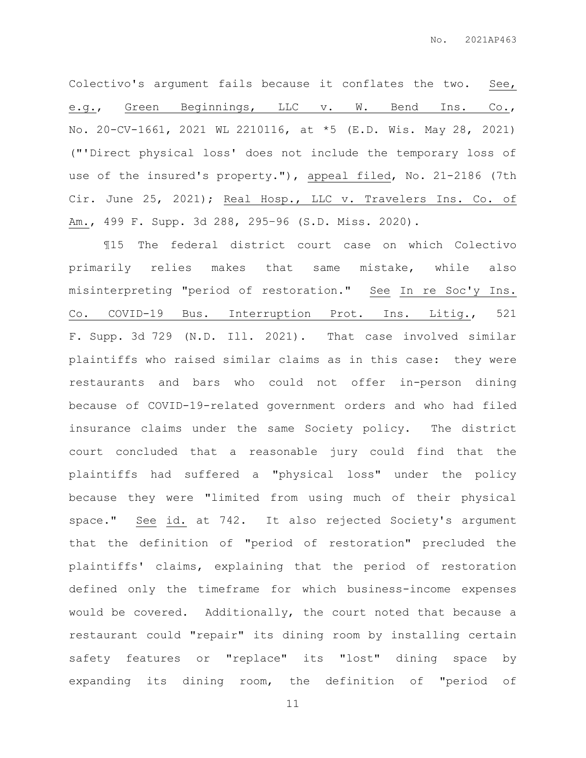Colectivo's argument fails because it conflates the two. See, e.g., Green Beginnings, LLC v. W. Bend Ins. Co., No. 20-CV-1661, 2021 WL 2210116, at \*5 (E.D. Wis. May 28, 2021) ("'Direct physical loss' does not include the temporary loss of use of the insured's property."), appeal filed, No. 21-2186 (7th Cir. June 25, 2021); Real Hosp., LLC v. Travelers Ins. Co. of Am., 499 F. Supp. 3d 288, 295–96 (S.D. Miss. 2020).

¶15 The federal district court case on which Colectivo primarily relies makes that same mistake, while also misinterpreting "period of restoration." See In re Soc'y Ins. Co. COVID-19 Bus. Interruption Prot. Ins. Litig., 521 F. Supp. 3d 729 (N.D. Ill. 2021). That case involved similar plaintiffs who raised similar claims as in this case: they were restaurants and bars who could not offer in-person dining because of COVID-19-related government orders and who had filed insurance claims under the same Society policy. The district court concluded that a reasonable jury could find that the plaintiffs had suffered a "physical loss" under the policy because they were "limited from using much of their physical space." See id. at 742. It also rejected Society's argument that the definition of "period of restoration" precluded the plaintiffs' claims, explaining that the period of restoration defined only the timeframe for which business-income expenses would be covered. Additionally, the court noted that because a restaurant could "repair" its dining room by installing certain safety features or "replace" its "lost" dining space by expanding its dining room, the definition of "period of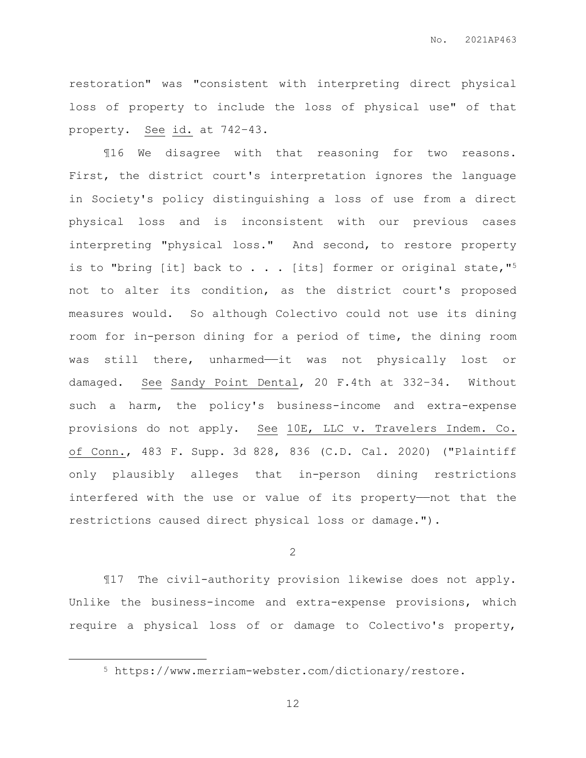restoration" was "consistent with interpreting direct physical loss of property to include the loss of physical use" of that property. See id. at 742–43.

¶16 We disagree with that reasoning for two reasons. First, the district court's interpretation ignores the language in Society's policy distinguishing a loss of use from a direct physical loss and is inconsistent with our previous cases interpreting "physical loss." And second, to restore property is to "bring [it] back to  $\ldots$  . [its] former or original state, "5 not to alter its condition, as the district court's proposed measures would. So although Colectivo could not use its dining room for in-person dining for a period of time, the dining room was still there, unharmed—it was not physically lost or damaged. See Sandy Point Dental, 20 F.4th at 332–34. Without such a harm, the policy's business-income and extra-expense provisions do not apply. See 10E, LLC v. Travelers Indem. Co. of Conn., 483 F. Supp. 3d 828, 836 (C.D. Cal. 2020) ("Plaintiff only plausibly alleges that in-person dining restrictions interfered with the use or value of its property——not that the restrictions caused direct physical loss or damage.").

# 2

¶17 The civil-authority provision likewise does not apply. Unlike the business-income and extra-expense provisions, which require a physical loss of or damage to Colectivo's property,

 $\overline{a}$ 

<sup>5</sup> https://www.merriam-webster.com/dictionary/restore.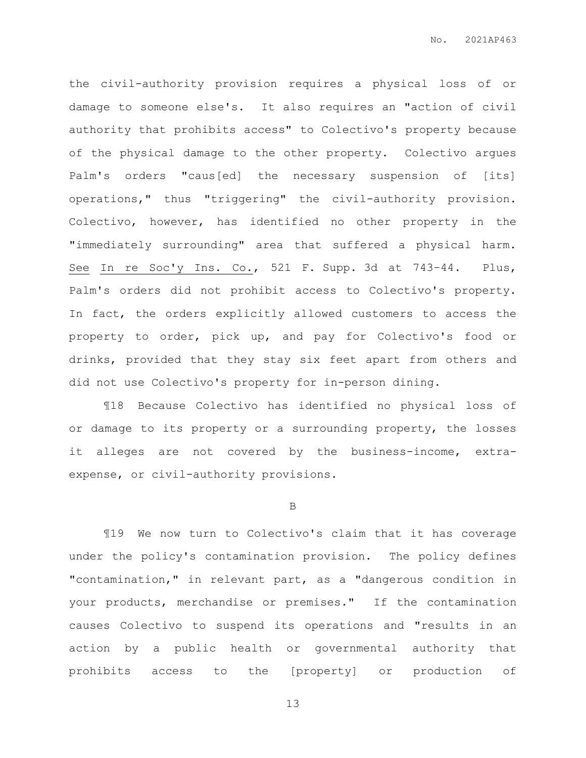the civil-authority provision requires a physical loss of or damage to someone else's. It also requires an "action of civil authority that prohibits access" to Colectivo's property because of the physical damage to the other property. Colectivo argues Palm's orders "caus[ed] the necessary suspension of [its] operations," thus "triggering" the civil-authority provision. Colectivo, however, has identified no other property in the "immediately surrounding" area that suffered a physical harm. See In re Soc'y Ins. Co., 521 F. Supp. 3d at 743–44. Plus, Palm's orders did not prohibit access to Colectivo's property. In fact, the orders explicitly allowed customers to access the property to order, pick up, and pay for Colectivo's food or drinks, provided that they stay six feet apart from others and did not use Colectivo's property for in-person dining.

¶18 Because Colectivo has identified no physical loss of or damage to its property or a surrounding property, the losses it alleges are not covered by the business-income, extraexpense, or civil-authority provisions.

### B

¶19 We now turn to Colectivo's claim that it has coverage under the policy's contamination provision. The policy defines "contamination," in relevant part, as a "dangerous condition in your products, merchandise or premises." If the contamination causes Colectivo to suspend its operations and "results in an action by a public health or governmental authority that prohibits access to the [property] or production of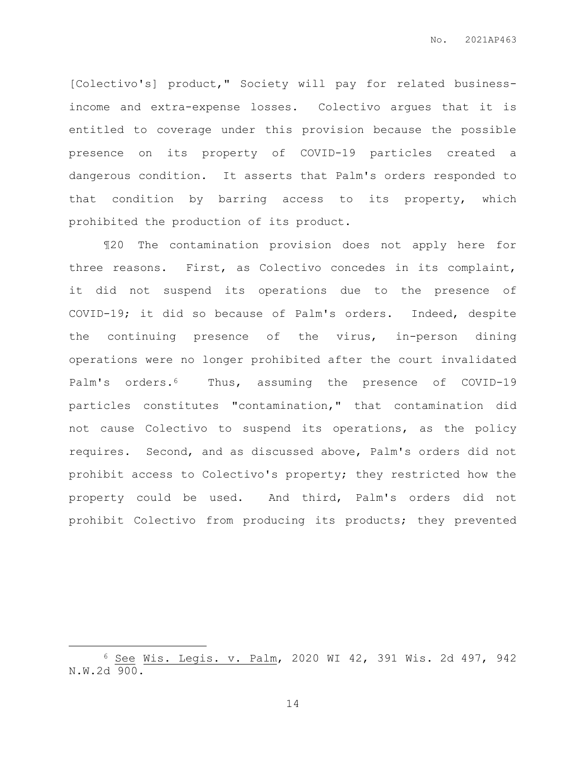[Colectivo's] product," Society will pay for related businessincome and extra-expense losses. Colectivo argues that it is entitled to coverage under this provision because the possible presence on its property of COVID-19 particles created a dangerous condition. It asserts that Palm's orders responded to that condition by barring access to its property, which prohibited the production of its product.

¶20 The contamination provision does not apply here for three reasons. First, as Colectivo concedes in its complaint, it did not suspend its operations due to the presence of COVID-19; it did so because of Palm's orders. Indeed, despite the continuing presence of the virus, in-person dining operations were no longer prohibited after the court invalidated Palm's orders.6 Thus, assuming the presence of COVID-19 particles constitutes "contamination," that contamination did not cause Colectivo to suspend its operations, as the policy requires. Second, and as discussed above, Palm's orders did not prohibit access to Colectivo's property; they restricted how the property could be used. And third, Palm's orders did not prohibit Colectivo from producing its products; they prevented

 $\overline{a}$ 

<sup>6</sup> See Wis. Legis. v. Palm, 2020 WI 42, 391 Wis. 2d 497, 942 N.W.2d 900.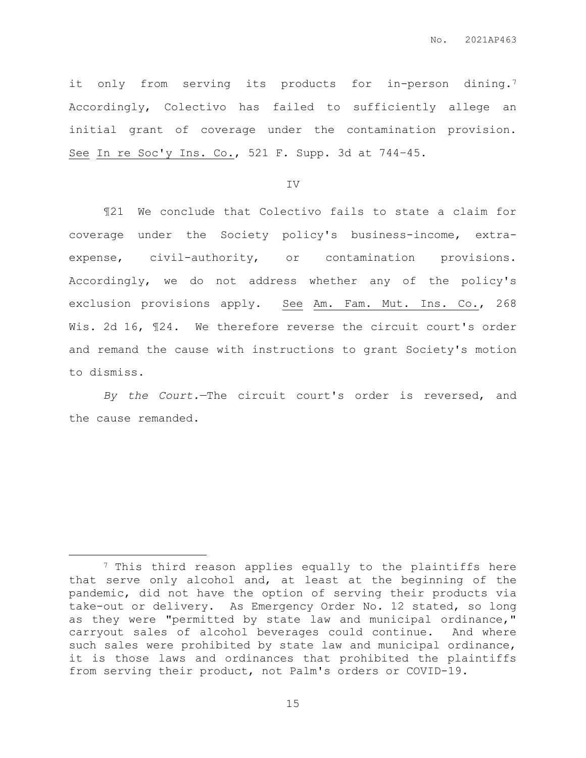it only from serving its products for in-person dining.<sup>7</sup> Accordingly, Colectivo has failed to sufficiently allege an initial grant of coverage under the contamination provision. See In re Soc'y Ins. Co., 521 F. Supp. 3d at 744–45.

## IV

¶21 We conclude that Colectivo fails to state a claim for coverage under the Society policy's business-income, extraexpense, civil-authority, or contamination provisions. Accordingly, we do not address whether any of the policy's exclusion provisions apply. See Am. Fam. Mut. Ins. Co., 268 Wis. 2d 16, 124. We therefore reverse the circuit court's order and remand the cause with instructions to grant Society's motion to dismiss.

*By the Court.*—The circuit court's order is reversed, and the cause remanded.

 $\overline{a}$ 

<sup>7</sup> This third reason applies equally to the plaintiffs here that serve only alcohol and, at least at the beginning of the pandemic, did not have the option of serving their products via take-out or delivery. As Emergency Order No. 12 stated, so long as they were "permitted by state law and municipal ordinance," carryout sales of alcohol beverages could continue. And where such sales were prohibited by state law and municipal ordinance, it is those laws and ordinances that prohibited the plaintiffs from serving their product, not Palm's orders or COVID-19.